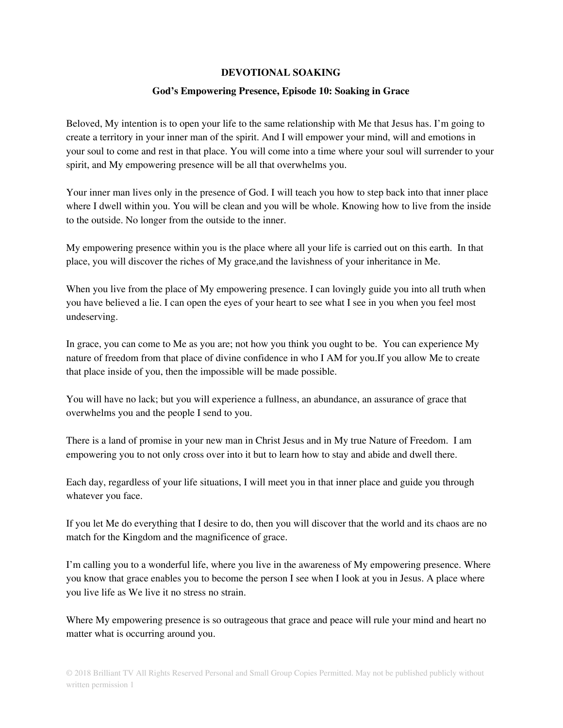## **DEVOTIONAL SOAKING**

## **God's Empowering Presence, Episode 10: Soaking in Grace**

Beloved, My intention is to open your life to the same relationship with Me that Jesus has. I'm going to create a territory in your inner man of the spirit. And I will empower your mind, will and emotions in your soul to come and rest in that place. You will come into a time where your soul will surrender to your spirit, and My empowering presence will be all that overwhelms you.

Your inner man lives only in the presence of God. I will teach you how to step back into that inner place where I dwell within you. You will be clean and you will be whole. Knowing how to live from the inside to the outside. No longer from the outside to the inner.

My empowering presence within you is the place where all your life is carried out on this earth. In that place, you will discover the riches of My grace,and the lavishness of your inheritance in Me.

When you live from the place of My empowering presence. I can lovingly guide you into all truth when you have believed a lie. I can open the eyes of your heart to see what I see in you when you feel most undeserving.

In grace, you can come to Me as you are; not how you think you ought to be. You can experience My nature of freedom from that place of divine confidence in who I AM for you.If you allow Me to create that place inside of you, then the impossible will be made possible.

You will have no lack; but you will experience a fullness, an abundance, an assurance of grace that overwhelms you and the people I send to you.

There is a land of promise in your new man in Christ Jesus and in My true Nature of Freedom. I am empowering you to not only cross over into it but to learn how to stay and abide and dwell there.

Each day, regardless of your life situations, I will meet you in that inner place and guide you through whatever you face.

If you let Me do everything that I desire to do, then you will discover that the world and its chaos are no match for the Kingdom and the magnificence of grace.

I'm calling you to a wonderful life, where you live in the awareness of My empowering presence. Where you know that grace enables you to become the person I see when I look at you in Jesus. A place where you live life as We live it no stress no strain.

Where My empowering presence is so outrageous that grace and peace will rule your mind and heart no matter what is occurring around you.